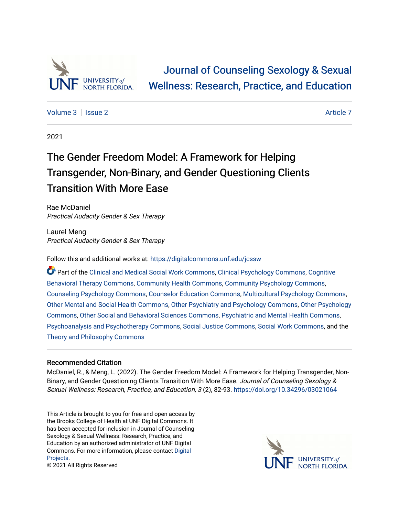

[Volume 3](https://digitalcommons.unf.edu/jcssw/vol3) | [Issue 2](https://digitalcommons.unf.edu/jcssw/vol3/iss2) [Article 7](https://digitalcommons.unf.edu/jcssw/vol3/iss2/7) Article 7 Article 7 Article 7 Article 7 Article 7 Article 7 Article 7 Article 7 Article 7

2021

# The Gender Freedom Model: A Framework for Helping Transgender, Non-Binary, and Gender Questioning Clients Transition With More Ease

Rae McDaniel Practical Audacity Gender & Sex Therapy

Laurel Meng Practical Audacity Gender & Sex Therapy

Follow this and additional works at: [https://digitalcommons.unf.edu/jcssw](https://digitalcommons.unf.edu/jcssw?utm_source=digitalcommons.unf.edu%2Fjcssw%2Fvol3%2Fiss2%2F7&utm_medium=PDF&utm_campaign=PDFCoverPages) 

Part of the [Clinical and Medical Social Work Commons,](http://network.bepress.com/hgg/discipline/712?utm_source=digitalcommons.unf.edu%2Fjcssw%2Fvol3%2Fiss2%2F7&utm_medium=PDF&utm_campaign=PDFCoverPages) [Clinical Psychology Commons,](http://network.bepress.com/hgg/discipline/406?utm_source=digitalcommons.unf.edu%2Fjcssw%2Fvol3%2Fiss2%2F7&utm_medium=PDF&utm_campaign=PDFCoverPages) [Cognitive](http://network.bepress.com/hgg/discipline/1078?utm_source=digitalcommons.unf.edu%2Fjcssw%2Fvol3%2Fiss2%2F7&utm_medium=PDF&utm_campaign=PDFCoverPages)  [Behavioral Therapy Commons](http://network.bepress.com/hgg/discipline/1078?utm_source=digitalcommons.unf.edu%2Fjcssw%2Fvol3%2Fiss2%2F7&utm_medium=PDF&utm_campaign=PDFCoverPages), [Community Health Commons,](http://network.bepress.com/hgg/discipline/714?utm_source=digitalcommons.unf.edu%2Fjcssw%2Fvol3%2Fiss2%2F7&utm_medium=PDF&utm_campaign=PDFCoverPages) [Community Psychology Commons,](http://network.bepress.com/hgg/discipline/409?utm_source=digitalcommons.unf.edu%2Fjcssw%2Fvol3%2Fiss2%2F7&utm_medium=PDF&utm_campaign=PDFCoverPages) [Counseling Psychology Commons,](http://network.bepress.com/hgg/discipline/1044?utm_source=digitalcommons.unf.edu%2Fjcssw%2Fvol3%2Fiss2%2F7&utm_medium=PDF&utm_campaign=PDFCoverPages) [Counselor Education Commons,](http://network.bepress.com/hgg/discipline/1278?utm_source=digitalcommons.unf.edu%2Fjcssw%2Fvol3%2Fiss2%2F7&utm_medium=PDF&utm_campaign=PDFCoverPages) [Multicultural Psychology Commons,](http://network.bepress.com/hgg/discipline/1237?utm_source=digitalcommons.unf.edu%2Fjcssw%2Fvol3%2Fiss2%2F7&utm_medium=PDF&utm_campaign=PDFCoverPages) [Other Mental and Social Health Commons](http://network.bepress.com/hgg/discipline/717?utm_source=digitalcommons.unf.edu%2Fjcssw%2Fvol3%2Fiss2%2F7&utm_medium=PDF&utm_campaign=PDFCoverPages), [Other Psychiatry and Psychology Commons,](http://network.bepress.com/hgg/discipline/992?utm_source=digitalcommons.unf.edu%2Fjcssw%2Fvol3%2Fiss2%2F7&utm_medium=PDF&utm_campaign=PDFCoverPages) [Other Psychology](http://network.bepress.com/hgg/discipline/415?utm_source=digitalcommons.unf.edu%2Fjcssw%2Fvol3%2Fiss2%2F7&utm_medium=PDF&utm_campaign=PDFCoverPages) [Commons](http://network.bepress.com/hgg/discipline/415?utm_source=digitalcommons.unf.edu%2Fjcssw%2Fvol3%2Fiss2%2F7&utm_medium=PDF&utm_campaign=PDFCoverPages), [Other Social and Behavioral Sciences Commons,](http://network.bepress.com/hgg/discipline/437?utm_source=digitalcommons.unf.edu%2Fjcssw%2Fvol3%2Fiss2%2F7&utm_medium=PDF&utm_campaign=PDFCoverPages) [Psychiatric and Mental Health Commons,](http://network.bepress.com/hgg/discipline/711?utm_source=digitalcommons.unf.edu%2Fjcssw%2Fvol3%2Fiss2%2F7&utm_medium=PDF&utm_campaign=PDFCoverPages) [Psychoanalysis and Psychotherapy Commons,](http://network.bepress.com/hgg/discipline/716?utm_source=digitalcommons.unf.edu%2Fjcssw%2Fvol3%2Fiss2%2F7&utm_medium=PDF&utm_campaign=PDFCoverPages) [Social Justice Commons,](http://network.bepress.com/hgg/discipline/1432?utm_source=digitalcommons.unf.edu%2Fjcssw%2Fvol3%2Fiss2%2F7&utm_medium=PDF&utm_campaign=PDFCoverPages) [Social Work Commons](http://network.bepress.com/hgg/discipline/713?utm_source=digitalcommons.unf.edu%2Fjcssw%2Fvol3%2Fiss2%2F7&utm_medium=PDF&utm_campaign=PDFCoverPages), and the [Theory and Philosophy Commons](http://network.bepress.com/hgg/discipline/1238?utm_source=digitalcommons.unf.edu%2Fjcssw%2Fvol3%2Fiss2%2F7&utm_medium=PDF&utm_campaign=PDFCoverPages) 

# Recommended Citation

McDaniel, R., & Meng, L. (2022). The Gender Freedom Model: A Framework for Helping Transgender, Non-Binary, and Gender Questioning Clients Transition With More Ease. Journal of Counseling Sexology & Sexual Wellness: Research, Practice, and Education, 3 (2), 82-93. <https://doi.org/10.34296/03021064>

This Article is brought to you for free and open access by the Brooks College of Health at UNF Digital Commons. It has been accepted for inclusion in Journal of Counseling Sexology & Sexual Wellness: Research, Practice, and Education by an authorized administrator of UNF Digital Commons. For more information, please contact [Digital](mailto:lib-digital@unf.edu) [Projects.](mailto:lib-digital@unf.edu)



© 2021 All Rights Reserved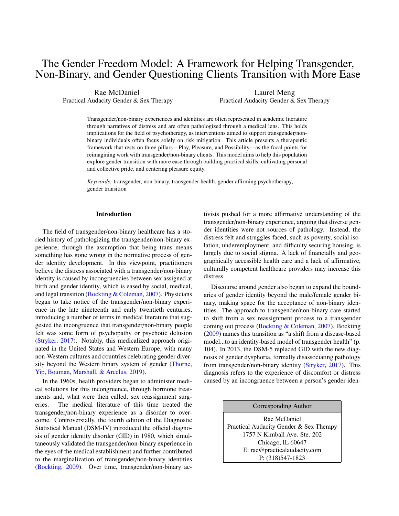# The Gender Freedom Model: A Framework for Helping Transgender, Non-Binary, and Gender Questioning Clients Transition with More Ease

Rae McDaniel Practical Audacity Gender & Sex Therapy

Laurel Meng Practical Audacity Gender & Sex Therapy

Transgender/non-binary experiences and identities are often represented in academic literature through narratives of distress and are often pathologized through a medical lens. This holds implications for the field of psychotherapy, as interventions aimed to support transgender/nonbinary individuals often focus solely on risk mitigation. This article presents a therapeutic framework that rests on three pillars—Play, Pleasure, and Possibility—as the focal points for reimagining work with transgender/non-binary clients. This model aims to help this population explore gender transition with more ease through building practical skills, cultivating personal and collective pride, and centering pleasure equity.

*Keywords:* transgender, non-binary, transgender health, gender affirming psychotherapy, gender transition

#### Introduction

The field of transgender/non-binary healthcare has a storied history of pathologizing the transgender/non-binary experience, through the assumption that being trans means something has gone wrong in the normative process of gender identity development. In this viewpoint, practitioners believe the distress associated with a transgender/non-binary identity is caused by incongruencies between sex assigned at birth and gender identity, which is eased by social, medical, and legal transition [\(Bockting & Coleman,](#page-9-0) [2007\)](#page-9-0). Physicians began to take notice of the transgender/non-binary experience in the late nineteenth and early twentieth centuries, introducing a number of terms in medical literature that suggested the incongruence that transgender/non-binary people felt was some form of psychopathy or psychotic delusion [\(Stryker,](#page-12-0) [2017\)](#page-12-0). Notably, this medicalized approach originated in the United States and Western Europe, with many non-Western cultures and countries celebrating gender diversity beyond the Western binary system of gender [\(Thorne,](#page-12-1) [Yip, Bouman, Marshall, & Arcelus,](#page-12-1) [2019\)](#page-12-1).

In the 1960s, health providers began to administer medical solutions for this incongruence, through hormone treatments and, what were then called, sex reassignment surgeries. The medical literature of this time treated the transgender/non-binary experience as a disorder to overcome. Controversially, the fourth edition of the Diagnostic Statistical Manual (DSM-IV) introduced the official diagnosis of gender identity disorder (GID) in 1980, which simultaneously validated the transgender/non-binary experience in the eyes of the medical establishment and further contributed to the marginalization of transgender/non-binary identities [\(Bockting,](#page-9-1) [2009\)](#page-9-1). Over time, transgender/non-binary activists pushed for a more affirmative understanding of the transgender/non-binary experience, arguing that diverse gender identities were not sources of pathology. Instead, the distress felt and struggles faced, such as poverty, social isolation, underemployment, and difficulty securing housing, is largely due to social stigma. A lack of financially and geographically accessible health care and a lack of affirmative, culturally competent healthcare providers may increase this distress.

Discourse around gender also began to expand the boundaries of gender identity beyond the male/female gender binary, making space for the acceptance of non-binary identities. The approach to transgender/non-binary care started to shift from a sex reassignment process to a transgender coming out process [\(Bockting & Coleman,](#page-9-0) [2007\)](#page-9-0). Bockting [\(2009\)](#page-9-1) names this transition as "a shift from a disease-based model...to an identity-based model of transgender health" (p. 104). In 2013, the DSM-5 replaced GID with the new diagnosis of gender dysphoria, formally disassociating pathology from transgender/non-binary identity [\(Stryker,](#page-12-0) [2017\)](#page-12-0). This diagnosis refers to the experience of discomfort or distress caused by an incongruence between a person's gender iden-

Corresponding Author

Rae McDaniel Practical Audacity Gender & Sex Therapy 1757 N Kimball Ave. Ste. 202 Chicago, IL 60647 E: rae@practicalaudacity.com P: (318)547-1823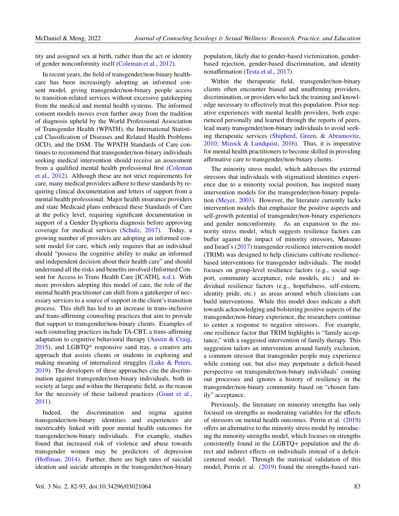tity and assigned sex at birth, rather than the act or identity of gender nonconformity itself [\(Coleman et al.,](#page-10-0) [2012\)](#page-10-0).

In recent years, the field of transgender/non-binary healthcare has been increasingly adopting an informed consent model, giving transgender/non-binary people access to transition-related services without excessive gatekeeping from the medical and mental health systems. The informed consent models moves even further away from the tradition of diagnosis upheld by the World Professional Association of Transgender Health (WPATH), the International Statistical Classification of Diseases and Related Health Problems (ICD), and the DSM. The WPATH Standards of Care continues to recommend that transgender/non-binary individuals seeking medical intervention should receive an assessment from a qualified mental health professional first [\(Coleman](#page-10-0) [et al.,](#page-10-0) [2012\)](#page-10-0). Although these are not strict requirements for care, many medical providers adhere to these standards by requiring clinical documentation and letters of support from a mental health professional. Major health insurance providers and state Medicaid plans embraced these Standards of Care at the policy level, requiring significant documentation in support of a Gender Dysphoria diagnosis before approving coverage for medical services [\(Schulz,](#page-11-0) [2017\)](#page-11-0). Today, a growing number of providers are adopting an informed consent model for care, which only requires that an individual should "possess the cognitive ability to make an informed and independent decision about their health care" and should understand all the risks and benefits involved (Informed Consent for Access to Trans Health Care [ICATH], [n.d.\)](#page-10-1). With more providers adopting this model of care, the role of the mental health practitioner can shift from a gatekeeper of necessary services to a source of support in the client's transition process. This shift has led to an increase in trans-inclusive and trans-affirming counseling practices that aim to provide that support to transgender/non-binary clients. Examples of such counseling practices include TA-CBT, a trans-affirming adaptation to cognitive behavioral therapy [\(Austin & Craig,](#page-9-2) [2015\)](#page-9-2), and LGBTQ\* responsive sand tray, a creative arts approach that assists clients or students in exploring and making meaning of internalized struggles [\(Luke & Peters,](#page-10-2) [2019\)](#page-10-2). The developers of these approaches cite the discrimination against transgender/non-binary individuals, both in society at large and within the therapeutic field, as the reason for the necessity of these tailored practices [\(Grant et al.,](#page-10-3) [2011\)](#page-10-3).

Indeed, the discrimination and stigma against transgender/non-binary identities and experiences are inextricably linked with poor mental health outcomes for transgender/non-binary individuals. For example, studies found that increased risk of violence and abuse towards transgender women may be predictors of depression (Hoff[man,](#page-10-4) [2014\)](#page-10-4). Further, there are high rates of suicidal ideation and suicide attempts in the transgender/non-binary

population, likely due to gender-based victimization, genderbased rejection, gender-based discrimination, and identity nonaffirmation [\(Testa et al.,](#page-12-2) [2017\)](#page-12-2).

Within the therapeutic field, transgender/non-binary clients often encounter biased and unaffirming providers, discrimination, or providers who lack the training and knowledge necessary to effectively treat this population. Prior negative experiences with mental health providers, both experienced personally and learned through the reports of peers, lead many transgender/non-binary individuals to avoid seeking therapeutic services [\(Shipherd, Green, & Abramovitz,](#page-12-3) [2010;](#page-12-3) [Mizock & Lundquist,](#page-11-1) [2016\)](#page-11-1). Thus, it is imperative for mental health practitioners to become skilled in providing affirmative care to transgender/non-binary clients.

The minority stress model, which addresses the external stressors that individuals with stigmatized identities experience due to a minority social position, has inspired many intervention models for the transgender/non-binary population [\(Meyer,](#page-11-2) [2003\)](#page-11-2). However, the literature currently lacks intervention models that emphasize the positive aspects and self-growth potential of transgender/non-binary experiences and gender nonconformity. As an expansion to the minority stress model, which suggests resilience factors can buffer against the impact of minority stressors, Matsuno and Israel's [\(2017\)](#page-10-5) transgender resilience intervention model (TRIM) was designed to help clinicians cultivate resiliencebased interventions for transgender individuals. The model focuses on group-level resilience factors (e.g., social support, community acceptance, role models, etc.) and individual resilience factors (e.g., hopefulness, self-esteem, identity pride, etc.) as areas around which clinicians can build interventions. While this model does indicate a shift towards acknowledging and bolstering positive aspects of the transgender/non-binary experience, the researchers continue to center a response to negative stressors. For example, one resilience factor that TRIM highlights is "family acceptance," with a suggested intervention of family therapy. This suggestion tailors an intervention around family exclusion, a common stressor that transgender people may experience while coming out, but also may perpetuate a deficit-based perspective on transgender/non-binary individuals' coming out processes and ignores a history of resiliency in the transgender/non-binary community based on "chosen family" acceptance.

Previously, the literature on minority strengths has only focused on strengths as moderating variables for the effects of stressors on mental health outcomes. Perrin et al. [\(2019\)](#page-11-3) offers an alternative to the minority stress model by introducing the minority strengths model, which focuses on strengths consistently found in the LGBTQ+ population and the direct and indirect effects on individuals instead of a deficitcentered model. Through the statistical validation of this model, Perrin et al. [\(2019\)](#page-11-3) found the strengths-based vari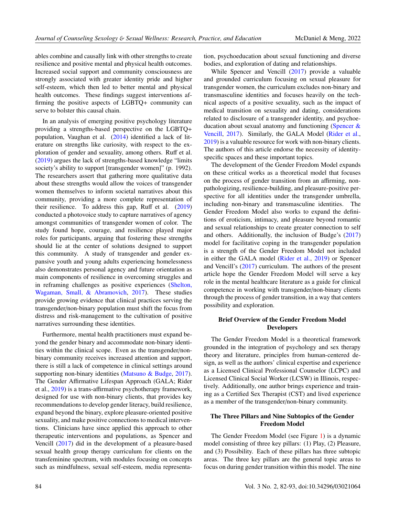ables combine and causally link with other strengths to create resilience and positive mental and physical health outcomes. Increased social support and community consciousness are strongly associated with greater identity pride and higher self-esteem, which then led to better mental and physical health outcomes. These findings suggest interventions affirming the positive aspects of LGBTQ+ community can serve to bolster this causal chain.

In an analysis of emerging positive psychology literature providing a strengths-based perspective on the LGBTQ+ population, Vaughan et al. [\(2014\)](#page-12-4) identified a lack of literature on strengths like curiosity, with respect to the exploration of gender and sexuality, among others. Ruff et al. [\(2019\)](#page-11-4) argues the lack of strengths-based knowledge "limits society's ability to support [transgender women]" (p. 1992). The researchers assert that gathering more qualitative data about these strengths would allow the voices of transgender women themselves to inform societal narratives about this community, providing a more complete representation of their resilience. To address this gap, Ruff et al.  $(2019)$ conducted a photovoice study to capture narratives of agency amongst communities of transgender women of color. The study found hope, courage, and resilience played major roles for participants, arguing that fostering these strengths should lie at the center of solutions designed to support this community. A study of transgender and gender expansive youth and young adults experiencing homelessness also demonstrates personal agency and future orientation as main components of resilience in overcoming struggles and in reframing challenges as positive experiences [\(Shelton,](#page-11-5) [Wagaman, Small, & Abramovich,](#page-11-5) [2017\)](#page-11-5). These studies provide growing evidence that clinical practices serving the transgender/non-binary population must shift the focus from distress and risk-management to the cultivation of positive narratives surrounding these identities.

Furthermore, mental health practitioners must expand beyond the gender binary and accommodate non-binary identities within the clinical scope. Even as the transgender/nonbinary community receives increased attention and support, there is still a lack of competence in clinical settings around supporting non-binary identities [\(Matsuno & Budge,](#page-10-5) [2017\)](#page-10-5). The Gender Affirmative Lifespan Approach (GALA; Rider et al., [2019\)](#page-11-6) is a trans-affirmative psychotherapy framework, designed for use with non-binary clients, that provides key recommendations to develop gender literacy, build resilience, expand beyond the binary, explore pleasure-oriented positive sexuality, and make positive connections to medical interventions. Clinicians have since applied this approach to other therapeutic interventions and populations, as Spencer and Vencill [\(2017\)](#page-12-5) did in the development of a pleasure-based sexual health group therapy curriculum for clients on the transfeminine spectrum, with modules focusing on concepts such as mindfulness, sexual self-esteem, media representation, psychoeducation about sexual functioning and diverse bodies, and exploration of dating and relationships.

While Spencer and Vencill [\(2017\)](#page-12-5) provide a valuable and grounded curriculum focusing on sexual pleasure for transgender women, the curriculum excludes non-binary and transmasculine identities and focuses heavily on the technical aspects of a positive sexuality, such as the impact of medical transition on sexuality and dating, considerations related to disclosure of a transgender identity, and psychoeducation about sexual anatomy and functioning (Spencer  $\&$ [Vencill,](#page-12-5) [2017\)](#page-12-5). Similarly, the GALA Model [\(Rider et al.,](#page-11-6) [2019\)](#page-11-6) is a valuable resource for work with non-binary clients. The authors of this article endorse the necessity of identityspecific spaces and these important topics.

The development of the Gender Freedom Model expands on these critical works as a theoretical model that focuses on the process of gender transition from an affirming, nonpathologizing, resilience-building, and pleasure-positive perspective for all identities under the transgender umbrella, including non-binary and transmasculine identities. The Gender Freedom Model also works to expand the definitions of eroticism, intimacy, and pleasure beyond romantic and sexual relationships to create greater connection to self and others. Additionally, the inclusion of Budge's [\(2017\)](#page-9-3) model for facilitative coping in the transgender population is a strength of the Gender Freedom Model not included in either the GALA model [\(Rider et al.,](#page-11-6) [2019\)](#page-11-6) or Spencer and Vencill's [\(2017\)](#page-12-5) curriculum. The authors of the present article hope the Gender Freedom Model will serve a key role in the mental healthcare literature as a guide for clinical competence in working with transgender/non-binary clients through the process of gender transition, in a way that centers possibility and exploration.

### Brief Overview of the Gender Freedom Model Developers

The Gender Freedom Model is a theoretical framework grounded in the integration of psychology and sex therapy theory and literature, principles from human-centered design, as well as the authors' clinical expertise and experience as a Licensed Clinical Professional Counselor (LCPC) and Licensed Clinical Social Worker (LCSW) in Illinois, respectively. Additionally, one author brings experience and training as a Certified Sex Therapist (CST) and lived experience as a member of the transgender/non-binary community.

## The Three Pillars and Nine Subtopics of the Gender Freedom Model

The Gender Freedom Model (see Figure [1\)](#page-5-0) is a dynamic model consisting of three key pillars: (1) Play, (2) Pleasure, and (3) Possibility. Each of these pillars has three subtopic areas. The three key pillars are the general topic areas to focus on during gender transition within this model. The nine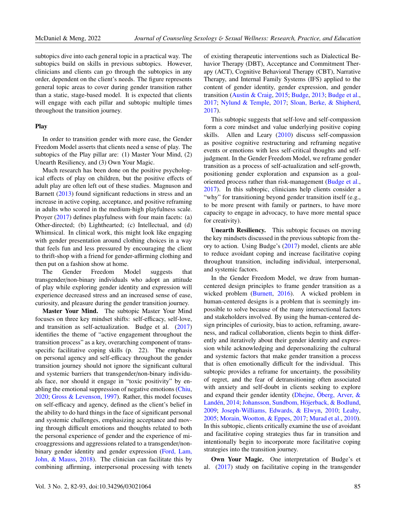subtopics dive into each general topic in a practical way. The subtopics build on skills in previous subtopics. However, clinicians and clients can go through the subtopics in any order, dependent on the client's needs. The figure represents general topic areas to cover during gender transition rather than a static, stage-based model. It is expected that clients will engage with each pillar and subtopic multiple times throughout the transition journey.

#### Play

In order to transition gender with more ease, the Gender Freedom Model asserts that clients need a sense of play. The subtopics of the Play pillar are: (1) Master Your Mind, (2) Unearth Resiliency, and (3) Own Your Magic.

Much research has been done on the positive psychological effects of play on children, but the positive effects of adult play are often left out of these studies. Magnuson and Barnett [\(2013\)](#page-10-6) found significant reductions in stress and an increase in active coping, acceptance, and positive reframing in adults who scored in the medium-high playfulness scale. Proyer [\(2017\)](#page-11-7) defines playfulness with four main facets: (a) Other-directed; (b) Lighthearted; (c) Intellectual, and (d) Whimsical. In clinical work, this might look like engaging with gender presentation around clothing choices in a way that feels fun and less pressured by encouraging the client to thrift-shop with a friend for gender-affirming clothing and then put on a fashion show at home.

The Gender Freedom Model suggests that transgender/non-binary individuals who adopt an attitude of play while exploring gender identity and expression will experience decreased stress and an increased sense of ease, curiosity, and pleasure during the gender transition journey.

Master Your Mind. The subtopic Master Your Mind focuses on three key mindset shifts: self-efficacy, self-love, and transition as self-actualization. Budge et al.  $(2017)$ identifies the theme of "active engagement throughout the transition process" as a key, overarching component of transspecific facilitative coping skills (p. 22). The emphasis on personal agency and self-efficacy throughout the gender transition journey should not ignore the significant cultural and systemic barriers that transgender/non-binary individuals face, nor should it engage in "toxic positivity" by enabling the emotional suppression of negative emotions [\(Chiu,](#page-9-4) [2020;](#page-9-4) [Gross & Levenson,](#page-10-7) [1997\)](#page-10-7). Rather, this model focuses on self-efficacy and agency, defined as the client's belief in the ability to do hard things in the face of significant personal and systemic challenges, emphasizing acceptance and moving through difficult emotions and thoughts related to both the personal experience of gender and the experience of microaggressions and aggressions related to a transgender/nonbinary gender identity and gender expression [\(Ford, Lam,](#page-10-8) [John, & Mauss,](#page-10-8) [2018\)](#page-10-8). The clinician can facilitate this by combining affirming, interpersonal processing with tenets

of existing therapeutic interventions such as Dialectical Behavior Therapy (DBT), Acceptance and Commitment Therapy (ACT), Cognitive Behavioral Therapy (CBT), Narrative Therapy, and Internal Family Systems (IFS) applied to the content of gender identity, gender expression, and gender transition [\(Austin & Craig,](#page-9-2) [2015;](#page-9-2) [Budge,](#page-9-5) [2013;](#page-9-5) [Budge et al.,](#page-9-3) [2017;](#page-9-3) [Nylund & Temple,](#page-11-8) [2017;](#page-11-8) [Sloan, Berke, & Shipherd,](#page-12-6) [2017\)](#page-12-6).

This subtopic suggests that self-love and self-compassion form a core mindset and value underlying positive coping skills. Allen and Leary [\(2010\)](#page-9-6) discuss self-compassion as positive cognitive restructuring and reframing negative events or emotions with less self-critical thoughts and selfjudgment. In the Gender Freedom Model, we reframe gender transition as a process of self-actualization and self-growth, positioning gender exploration and expansion as a goaloriented process rather than risk-management [\(Budge et al.,](#page-9-3) [2017\)](#page-9-3). In this subtopic, clinicians help clients consider a "why" for transitioning beyond gender transition itself (e.g., to be more present with family or partners, to have more capacity to engage in advocacy, to have more mental space for creativity).

Unearth Resiliency. This subtopic focuses on moving the key mindsets discussed in the previous subtopic from theory to action. Using Budge's [\(2017\)](#page-9-3) model, clients are able to reduce avoidant coping and increase facilitative coping throughout transition, including individual, interpersonal, and systemic factors.

In the Gender Freedom Model, we draw from humancentered design principles to frame gender transition as a wicked problem [\(Burnett,](#page-9-7) [2016\)](#page-9-7). A wicked problem in human-centered designs is a problem that is seemingly impossible to solve because of the many intersectional factors and stakeholders involved. By using the human-centered design principles of curiosity, bias to action, reframing, awareness, and radical collaboration, clients begin to think differently and iteratively about their gender identity and expression while acknowledging and depersonalizing the cultural and systemic factors that make gender transition a process that is often emotionally difficult for the individual. This subtopic provides a reframe for uncertainty, the possibility of regret, and the fear of detransitioning often associated with anxiety and self-doubt in clients seeking to explore and expand their gender identity [\(Dhejne, Öberg, Arver, &](#page-10-9) [Landén,](#page-10-9) [2014;](#page-10-9) [Johansson, Sundbom, Höjerback, & Bodlund,](#page-10-10) [2009;](#page-10-10) [Joseph-Williams, Edwards, & Elwyn,](#page-10-11) [2010;](#page-10-11) [Leahy,](#page-10-12) [2005;](#page-10-12) [Morain, Wootton, & Eppes,](#page-11-9) [2017;](#page-11-9) [Murad et al.,](#page-11-10) [2010\)](#page-11-10). In this subtopic, clients critically examine the use of avoidant and facilitative coping strategies thus far in transition and intentionally begin to incorporate more facilitative coping strategies into the transition journey.

Own Your Magic. One interpretation of Budge's et al. [\(2017\)](#page-9-3) study on facilitative coping in the transgender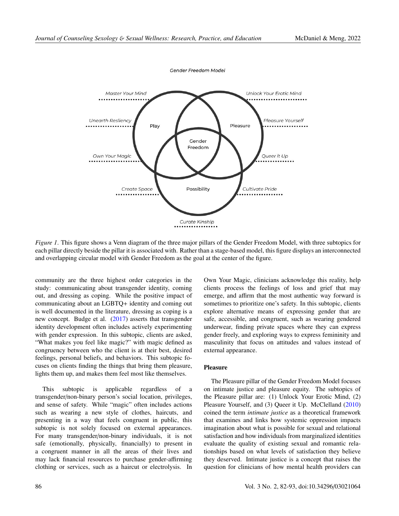<span id="page-5-0"></span>

*Figure 1*. This figure shows a Venn diagram of the three major pillars of the Gender Freedom Model, with three subtopics for each pillar directly beside the pillar it is associated with. Rather than a stage-based model, this figure displays an interconnected and overlapping circular model with Gender Freedom as the goal at the center of the figure.

community are the three highest order categories in the study: communicating about transgender identity, coming out, and dressing as coping. While the positive impact of communicating about an LGBTQ+ identity and coming out is well documented in the literature, dressing as coping is a new concept. Budge et al. [\(2017\)](#page-9-3) asserts that transgender identity development often includes actively experimenting with gender expression. In this subtopic, clients are asked, "What makes you feel like magic?" with magic defined as congruency between who the client is at their best, desired feelings, personal beliefs, and behaviors. This subtopic focuses on clients finding the things that bring them pleasure, lights them up, and makes them feel most like themselves.

This subtopic is applicable regardless of a transgender/non-binary person's social location, privileges, and sense of safety. While "magic" often includes actions such as wearing a new style of clothes, haircuts, and presenting in a way that feels congruent in public, this subtopic is not solely focused on external appearances. For many transgender/non-binary individuals, it is not safe (emotionally, physically, financially) to present in a congruent manner in all the areas of their lives and may lack financial resources to purchase gender-affirming clothing or services, such as a haircut or electrolysis. In Own Your Magic, clinicians acknowledge this reality, help clients process the feelings of loss and grief that may emerge, and affirm that the most authentic way forward is sometimes to prioritize one's safety. In this subtopic, clients explore alternative means of expressing gender that are safe, accessible, and congruent, such as wearing gendered underwear, finding private spaces where they can express gender freely, and exploring ways to express femininity and masculinity that focus on attitudes and values instead of external appearance.

#### Pleasure

The Pleasure pillar of the Gender Freedom Model focuses on intimate justice and pleasure equity. The subtopics of the Pleasure pillar are: (1) Unlock Your Erotic Mind, (2) Pleasure Yourself, and (3) Queer it Up. McClelland [\(2010\)](#page-11-11) coined the term *intimate justice* as a theoretical framework that examines and links how systemic oppression impacts imagination about what is possible for sexual and relational satisfaction and how individuals from marginalized identities evaluate the quality of existing sexual and romantic relationships based on what levels of satisfaction they believe they deserved. Intimate justice is a concept that raises the question for clinicians of how mental health providers can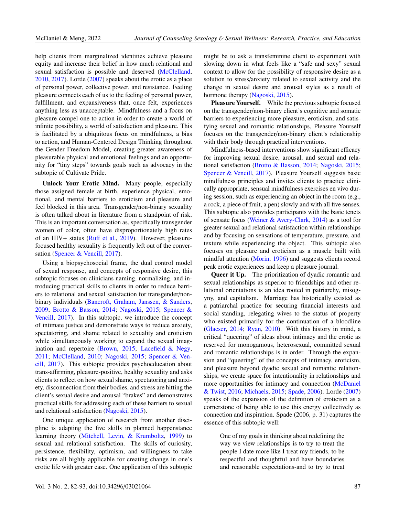help clients from marginalized identities achieve pleasure equity and increase their belief in how much relational and sexual satisfaction is possible and deserved [\(McClelland,](#page-11-11) [2010,](#page-11-11) [2017\)](#page-11-12). Lorde [\(2007\)](#page-10-13) speaks about the erotic as a place of personal power, collective power, and resistance. Feeling pleasure connects each of us to the feeling of personal power, fulfillment, and expansiveness that, once felt, experiences anything less as unacceptable. Mindfulness and a focus on pleasure compel one to action in order to create a world of infinite possibility, a world of satisfaction and pleasure. This is facilitated by a ubiquitous focus on mindfulness, a bias to action, and Human-Centered Design Thinking throughout the Gender Freedom Model, creating greater awareness of pleasurable physical and emotional feelings and an opportunity for "tiny steps" towards goals such as advocacy in the subtopic of Cultivate Pride.

Unlock Your Erotic Mind. Many people, especially those assigned female at birth, experience physical, emotional, and mental barriers to eroticism and pleasure and feel blocked in this area. Transgender/non-binary sexuality is often talked about in literature from a standpoint of risk. This is an important conversation as, specifically transgender women of color, often have disproportionately high rates of an HIV+ status (Ruff [et al.,](#page-11-4) [2019\)](#page-11-4). However, pleasurefocused healthy sexuality is frequently left out of the conversation [\(Spencer & Vencill,](#page-12-5) [2017\)](#page-12-5).

Using a biopsychosocial frame, the dual control model of sexual response, and concepts of responsive desire, this subtopic focuses on clinicians naming, normalizing, and introducing practical skills to clients in order to reduce barriers to relational and sexual satisfaction for transgender/nonbinary individuals [\(Bancroft, Graham, Janssen, & Sanders,](#page-9-8) [2009;](#page-9-8) [Brotto & Basson,](#page-9-9) [2014;](#page-9-9) [Nagoski,](#page-11-13) [2015;](#page-11-13) [Spencer &](#page-12-5) [Vencill,](#page-12-5) [2017\)](#page-12-5). In this subtopic, we introduce the concept of intimate justice and demonstrate ways to reduce anxiety, spectatoring, and shame related to sexuality and eroticism while simultaneously working to expand the sexual imagination and repertoire [\(Brown,](#page-9-10) [2015;](#page-9-10) [Lacefield & Negy,](#page-10-14) [2011;](#page-10-14) [McClelland,](#page-11-11) [2010;](#page-11-11) [Nagoski,](#page-11-13) [2015;](#page-11-13) [Spencer & Ven](#page-12-5)[cill,](#page-12-5) [2017\)](#page-12-5). This subtopic provides psychoeducation about trans-affirming, pleasure-positive, healthy sexuality and asks clients to reflect on how sexual shame, spectatoring and anxiety, disconnection from their bodies, and stress are hitting the client's sexual desire and arousal "brakes" and demonstrates practical skills for addressing each of these barriers to sexual and relational satisfaction [\(Nagoski,](#page-11-13) [2015\)](#page-11-13).

One unique application of research from another discipline is adapting the five skills in planned happenstance learning theory [\(Mitchell, Levin, & Krumboltz,](#page-11-14) [1999\)](#page-11-14) to sexual and relational satisfaction. The skills of curiosity, persistence, flexibility, optimism, and willingness to take risks are all highly applicable for creating change in one's erotic life with greater ease. One application of this subtopic might be to ask a transfeminine client to experiment with slowing down in what feels like a "safe and sexy" sexual context to allow for the possibility of responsive desire as a solution to stress/anxiety related to sexual activity and the change in sexual desire and arousal styles as a result of hormone therapy [\(Nagoski,](#page-11-13) [2015\)](#page-11-13).

Pleasure Yourself. While the previous subtopic focused on the transgender/non-binary client's cognitive and somatic barriers to experiencing more pleasure, eroticism, and satisfying sexual and romantic relationships, Pleasure Yourself focuses on the transgender/non-binary client's relationship with their body through practical interventions.

Mindfulness-based interventions show significant efficacy for improving sexual desire, arousal, and sexual and relational satisfaction [\(Brotto & Basson,](#page-9-9) [2014;](#page-9-9) [Nagoski,](#page-11-13) [2015;](#page-11-13) [Spencer & Vencill,](#page-12-5) [2017\)](#page-12-5). Pleasure Yourself suggests basic mindfulness principles and invites clients to practice clinically appropriate, sensual mindfulness exercises en vivo during session, such as experiencing an object in the room (e.g., a rock, a piece of fruit, a pen) slowly and with all five senses. This subtopic also provides participants with the basic tenets of sensate focus [\(Weiner & Avery-Clark,](#page-12-7) [2014\)](#page-12-7) as a tool for greater sexual and relational satisfaction within relationships and by focusing on sensations of temperature, pressure, and texture while experiencing the object. This subtopic also focuses on pleasure and eroticism as a muscle built with mindful attention [\(Morin,](#page-11-15) [1996\)](#page-11-15) and suggests clients record peak erotic experiences and keep a pleasure journal.

Queer it Up. The prioritization of dyadic romantic and sexual relationships as superior to friendships and other relational orientations is an idea rooted in patriarchy, misogyny, and capitalism. Marriage has historically existed as a patriarchal practice for securing financial interests and social standing, relegating wives to the status of property who existed primarily for the continuation of a bloodline [\(Glaeser,](#page-10-15) [2014;](#page-10-15) [Ryan,](#page-11-16) [2010\)](#page-11-16). With this history in mind, a critical "queering" of ideas about intimacy and the erotic as reserved for monogamous, heterosexual, committed sexual and romantic relationships is in order. Through the expansion and "queering" of the concepts of intimacy, eroticism, and pleasure beyond dyadic sexual and romantic relationships, we create space for intentionality in relationships and more opportunities for intimacy and connection [\(McDaniel](#page-11-17) [& Twist,](#page-11-17) [2016;](#page-11-17) [Michaels,](#page-11-18) [2015;](#page-11-18) [Spade,](#page-12-8) [2006\)](#page-12-8). Lorde [\(2007\)](#page-10-13) speaks of the expansion of the definition of eroticism as a cornerstone of being able to use this energy collectively as connection and inspiration. Spade (2006, p. 31) captures the essence of this subtopic well:

> One of my goals in thinking about redefining the way we view relationships is to try to treat the people I date more like I treat my friends, to be respectful and thoughtful and have boundaries and reasonable expectations-and to try to treat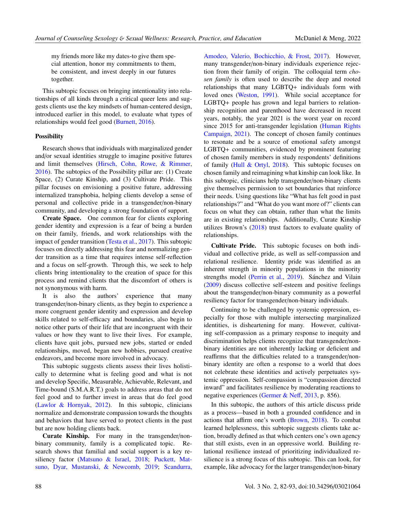my friends more like my dates-to give them special attention, honor my commitments to them, be consistent, and invest deeply in our futures together.

This subtopic focuses on bringing intentionality into relationships of all kinds through a critical queer lens and suggests clients use the key mindsets of human-centered design, introduced earlier in this model, to evaluate what types of relationships would feel good [\(Burnett,](#page-9-7) [2016\)](#page-9-7).

#### Possibility

Research shows that individuals with marginalized gender and/or sexual identities struggle to imagine positive futures and limit themselves [\(Hirsch, Cohn, Rowe, & Rimmer,](#page-10-16) [2016\)](#page-10-16). The subtopics of the Possibility pillar are: (1) Create Space, (2) Curate Kinship, and (3) Cultivate Pride. This pillar focuses on envisioning a positive future, addressing internalized transphobia, helping clients develop a sense of personal and collective pride in a transgender/non-binary community, and developing a strong foundation of support.

Create Space. One common fear for clients exploring gender identity and expression is a fear of being a burden on their family, friends, and work relationships with the impact of gender transition [\(Testa et al.,](#page-12-2) [2017\)](#page-12-2). This subtopic focuses on directly addressing this fear and normalizing gender transition as a time that requires intense self-reflection and a focus on self-growth. Through this, we seek to help clients bring intentionality to the creation of space for this process and remind clients that the discomfort of others is not synonymous with harm.

It is also the authors' experience that many transgender/non-binary clients, as they begin to experience a more congruent gender identity and expression and develop skills related to self-efficacy and boundaries, also begin to notice other parts of their life that are incongruent with their values or how they want to live their lives. For example, clients have quit jobs, pursued new jobs, started or ended relationships, moved, began new hobbies, pursued creative endeavors, and become more involved in advocacy.

This subtopic suggests clients assess their lives holistically to determine what is feeling good and what is not and develop Specific, Measurable, Achievable, Relevant, and Time-bound (S.M.A.R.T.) goals to address areas that do not feel good and to further invest in areas that do feel good [\(Lawlor & Hornyak,](#page-10-17) [2012\)](#page-10-17). In this subtopic, clinicians normalize and demonstrate compassion towards the thoughts and behaviors that have served to protect clients in the past but are now holding clients back.

Curate Kinship. For many in the transgender/nonbinary community, family is a complicated topic. Research shows that familial and social support is a key resiliency factor [\(Matsuno & Israel,](#page-10-18) [2018;](#page-10-18) [Puckett, Mat](#page-11-19)[suno, Dyar, Mustanski, & Newcomb,](#page-11-19) [2019;](#page-11-19) [Scandurra,](#page-11-20) [Amodeo, Valerio, Bochicchio, & Frost,](#page-11-20) [2017\)](#page-11-20). However, many transgender/non-binary individuals experience rejection from their family of origin. The colloquial term *chosen family* is often used to describe the deep and rooted relationships that many LGBTQ+ individuals form with loved ones [\(Weston,](#page-12-9) [1991\)](#page-12-9). While social acceptance for LGBTQ+ people has grown and legal barriers to relationship recognition and parenthood have decreased in recent years, notably, the year 2021 is the worst year on record since 2015 for anti-transgender legislation [\(Human Rights](#page-10-19) [Campaign,](#page-10-19) [2021\)](#page-10-19). The concept of chosen family continues to resonate and be a source of emotional safety amongst LGBTQ+ communities, evidenced by prominent featuring of chosen family members in study respondents' definitions of family [\(Hull & Ortyl,](#page-10-20) [2018\)](#page-10-20). This subtopic focuses on chosen family and reimagining what kinship can look like. In this subtopic, clinicians help transgender/non-binary clients give themselves permission to set boundaries that reinforce their needs. Using questions like "What has felt good in past relationships?" and "What do you want more of?" clients can focus on what they can obtain, rather than what the limits are in existing relationships. Additionally, Curate Kinship utilizes Brown's [\(2018\)](#page-9-11) trust factors to evaluate quality of relationships.

Cultivate Pride. This subtopic focuses on both individual and collective pride, as well as self-compassion and relational resilience. Identity pride was identified as an inherent strength in minority populations in the minority strengths model [\(Perrin et al.,](#page-11-3) [2019\)](#page-11-3). Sánchez and Vilain [\(2009\)](#page-11-21) discuss collective self-esteem and positive feelings about the transgender/non-binary community as a powerful resiliency factor for transgender/non-binary individuals.

Continuing to be challenged by systemic oppression, especially for those with multiple intersecting marginalized identities, is disheartening for many. However, cultivating self-compassion as a primary response to inequity and discrimination helps clients recognize that transgender/nonbinary identities are not inherently lacking or deficient and reaffirms that the difficulties related to a transgender/nonbinary identity are often a response to a world that does not celebrate these identities and actively perpetuates systemic oppression. Self-compassion is "compassion directed inward" and facilitates resilience by moderating reactions to negative experiences [\(Germer & Ne](#page-10-21)ff, [2013,](#page-10-21) p. 856).

In this subtopic, the authors of this article discuss pride as a process—based in both a grounded confidence and in actions that affirm one's worth [\(Brown,](#page-9-11) [2018\)](#page-9-11). To combat learned helplessness, this subtopic suggests clients take action, broadly defined as that which centers one's own agency that still exists, even in an oppressive world. Building relational resilience instead of prioritizing individualized resilience is a strong focus of this subtopic. This can look, for example, like advocacy for the larger transgender/non-binary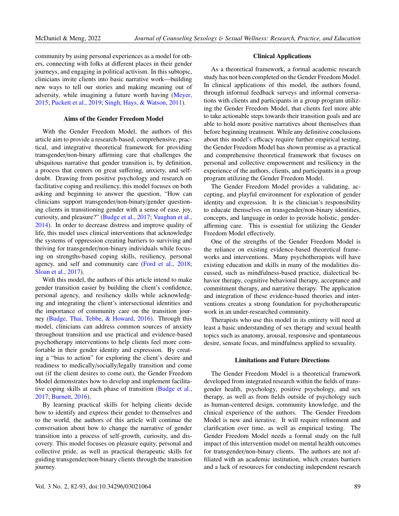community by using personal experiences as a model for others, connecting with folks at different places in their gender journeys, and engaging in political activism. In this subtopic, clinicians invite clients into basic narrative work—building new ways to tell our stories and making meaning out of adversity, while imagining a future worth having [\(Meyer,](#page-11-22) [2015;](#page-11-22) [Puckett et al.,](#page-11-19) [2019;](#page-11-19) [Singh, Hays, & Watson,](#page-12-10) [2011\)](#page-12-10).

#### Aims of the Gender Freedom Model

With the Gender Freedom Model, the authors of this article aim to provide a research-based, comprehensive, practical, and integrative theoretical framework for providing transgender/non-binary affirming care that challenges the ubiquitous narrative that gender transition is, by definition, a process that centers on great suffering, anxiety, and selfdoubt. Drawing from positive psychology and research on facilitative coping and resiliency, this model focuses on both asking and beginning to answer the question, "How can clinicians support transgender/non-binary/gender questioning clients in transitioning gender with a sense of ease, joy, curiosity, and pleasure?" [\(Budge et al.,](#page-9-3) [2017;](#page-9-3) [Vaughan et al.,](#page-12-4) [2014\)](#page-12-4). In order to decrease distress and improve quality of life, this model uses clinical interventions that acknowledge the systems of oppression creating barriers to surviving and thriving for transgender/non-binary individuals while focusing on strengths-based coping skills, resiliency, personal agency, and self and community care [\(Ford et al.,](#page-10-8) [2018;](#page-10-8) [Sloan et al.,](#page-12-6) [2017\)](#page-12-6).

With this model, the authors of this article intend to make gender transition easier by building the client's confidence, personal agency, and resiliency skills while acknowledging and integrating the client's intersectional identities and the importance of community care on the transition journey [\(Budge, Thai, Tebbe, & Howard,](#page-9-12) [2016\)](#page-9-12). Through this model, clinicians can address common sources of anxiety throughout transition and use practical and evidence-based psychotherapy interventions to help clients feel more comfortable in their gender identity and expression. By creating a "bias to action" for exploring the client's desire and readiness to medically/socially/legally transition and come out (if the client desires to come out), the Gender Freedom Model demonstrates how to develop and implement facilitative coping skills at each phase of transition [\(Budge et al.,](#page-9-3) [2017;](#page-9-3) [Burnett,](#page-9-7) [2016\)](#page-9-7).

By learning practical skills for helping clients decide how to identify and express their gender to themselves and to the world, the authors of this article will continue the conversation about how to change the narrative of gender transition into a process of self-growth, curiosity, and discovery. This model focuses on pleasure equity, personal and collective pride, as well as practical therapeutic skills for guiding transgender/non-binary clients through the transition journey.

#### Clinical Applications

As a theoretical framework, a formal academic research study has not been completed on the Gender Freedom Model. In clinical applications of this model, the authors found, through informal feedback surveys and informal conversations with clients and participants in a group program utilizing the Gender Freedom Model, that clients feel more able to take actionable steps towards their transition goals and are able to hold more positive narratives about themselves than before beginning treatment. While any definitive conclusions about this model's efficacy require further empirical testing, the Gender Freedom Model has shown promise as a practical and comprehensive theoretical framework that focuses on personal and collective empowerment and resiliency in the experience of the authors, clients, and participants in a group program utilizing the Gender Freedom Model.

The Gender Freedom Model provides a validating, accepting, and playful environment for exploration of gender identity and expression. It is the clinician's responsibility to educate themselves on transgender/non-binary identities, concepts, and language in order to provide holistic, genderaffirming care. This is essential for utilizing the Gender Freedom Model effectively.

One of the strengths of the Gender Freedom Model is the reliance on existing evidence-based theoretical frameworks and interventions. Many psychotherapists will have existing education and skills in many of the modalities discussed, such as mindfulness-based practice, dialectical behavior therapy, cognitive behavioral therapy, acceptance and commitment therapy, and narrative therapy. The application and integration of these evidence-based theories and interventions creates a strong foundation for psychotherapeutic work in an under-researched community.

Therapists who use this model in its entirety will need at least a basic understanding of sex therapy and sexual health topics such as anatomy, arousal, responsive and spontaneous desire, sensate focus, and mindfulness applied to sexuality.

#### Limitations and Future Directions

The Gender Freedom Model is a theoretical framework developed from integrated research within the fields of transgender health, psychology, positive psychology, and sex therapy, as well as from fields outside of psychology such as human-centered design, community knowledge, and the clinical experience of the authors. The Gender Freedom Model is new and iterative. It will require refinement and clarification over time, as well as empirical testing. The Gender Freedom Model needs a formal study on the full impact of this intervention model on mental health outcomes for transgender/non-binary clients. The authors are not affiliated with an academic institution, which creates barriers and a lack of resources for conducting independent research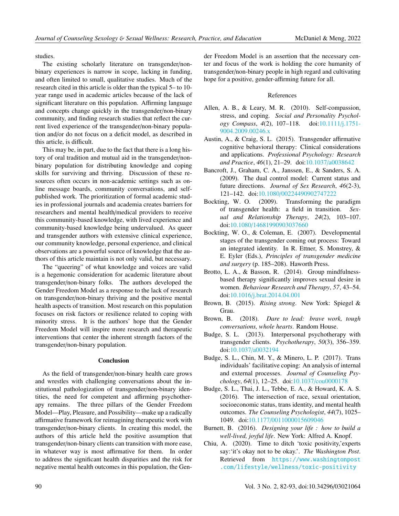studies.

The existing scholarly literature on transgender/nonbinary experiences is narrow in scope, lacking in funding, and often limited to small, qualitative studies. Much of the research cited in this article is older than the typical 5– to 10 year range used in academic articles because of the lack of significant literature on this population. Affirming language and concepts change quickly in the transgender/non-binary community, and finding research studies that reflect the current lived experience of the transgender/non-binary population and/or do not focus on a deficit model, as described in this article, is difficult.

This may be, in part, due to the fact that there is a long history of oral tradition and mutual aid in the transgender/nonbinary population for distributing knowledge and coping skills for surviving and thriving. Discussion of these resources often occurs in non-academic settings such as online message boards, community conversations, and selfpublished work. The prioritization of formal academic studies in professional journals and academia creates barriers for researchers and mental health/medical providers to receive this community-based knowledge, with lived experience and community-based knowledge being undervalued. As queer and transgender authors with extensive clinical experience, our community knowledge, personal experience, and clinical observations are a powerful source of knowledge that the authors of this article maintain is not only valid, but necessary.

The "queering" of what knowledge and voices are valid is a hegemonic consideration for academic literature about transgender/non-binary folks. The authors developed the Gender Freedom Model as a response to the lack of research on transgender/non-binary thriving and the positive mental health aspects of transition. Most research on this population focuses on risk factors or resilience related to coping with minority stress. It is the authors' hope that the Gender Freedom Model will inspire more research and therapeutic interventions that center the inherent strength factors of the transgender/non-binary population.

#### Conclusion

As the field of transgender/non-binary health care grows and wrestles with challenging conversations about the institutional pathologization of transgender/non-binary identities, the need for competent and affirming psychotherapy remains. The three pillars of the Gender Freedom Model—Play, Pleasure, and Possibility—make up a radically affirmative framework for reimagining therapeutic work with transgender/non-binary clients. In creating this model, the authors of this article held the positive assumption that transgender/non-binary clients can transition with more ease, in whatever way is most affirmative for them. In order to address the significant health disparities and the risk for negative mental health outcomes in this population, the Gender Freedom Model is an assertion that the necessary center and focus of the work is holding the core humanity of transgender/non-binary people in high regard and cultivating hope for a positive, gender-affirming future for all.

#### References

- <span id="page-9-6"></span>Allen, A. B., & Leary, M. R. (2010). Self-compassion, stress, and coping. *Social and Personality Psychology Compass*, *4*(2), 107–118. doi[:10.1111](https://doi.org/10.1111/j.1751-9004.2009.00246.x)/j.1751- [9004.2009.00246.x](https://doi.org/10.1111/j.1751-9004.2009.00246.x)
- <span id="page-9-2"></span>Austin, A., & Craig, S. L. (2015). Transgender affirmative cognitive behavioral therapy: Clinical considerations and applications. *Professional Psychology: Research and Practice*, *46*(1), 21–29. doi:10.1037/[a0038642](https://doi.org/10.1037/a0038642)
- <span id="page-9-8"></span>Bancroft, J., Graham, C. A., Janssen, E., & Sanders, S. A. (2009). The dual control model: Current status and future directions. *Journal of Sex Research*, *46*(2-3), 121–142. doi:10.1080/[00224490902747222](https://doi.org/10.1080/00224490902747222)
- <span id="page-9-1"></span>Bockting, W. O. (2009). Transforming the paradigm of transgender health: a field in transition. *Sexual and Relationship Therapy*, *24*(2), 103–107. doi:10.1080/[14681990903037660](https://doi.org/10.1080/14681990903037660)
- <span id="page-9-0"></span>Bockting, W. O., & Coleman, E. (2007). Developmental stages of the transgender coming out process: Toward an integrated identity. In R. Ettner, S. Monstrey, & E. Eyler (Eds.), *Principles of transgender medicine and surgery* (p. 185–208). Haworth Press.
- <span id="page-9-9"></span>Brotto, L. A., & Basson, R. (2014). Group mindfulnessbased therapy significantly improves sexual desire in women. *Behaviour Research and Therapy*, *57*, 43–54. doi:10.1016/[j.brat.2014.04.001](https://doi.org/10.1016/j.brat.2014.04.001)
- <span id="page-9-10"></span>Brown, B. (2015). *Rising strong*. New York: Spiegel & Grau.
- <span id="page-9-11"></span>Brown, B. (2018). *Dare to lead: brave work, tough conversations, whole hearts*. Random House.
- <span id="page-9-5"></span>Budge, S. L. (2013). Interpersonal psychotherapy with transgender clients. *Psychotherapy*, *50*(3), 356–359. doi:10.1037/[a0032194](https://doi.org/10.1037/a0032194)
- <span id="page-9-3"></span>Budge, S. L., Chin, M. Y., & Minero, L. P. (2017). Trans individuals' facilitative coping: An analysis of internal and external processes. *Journal of Counseling Psychology*, *64*(1), 12–25. doi:10.1037/[cou0000178](https://doi.org/10.1037/cou0000178)
- <span id="page-9-12"></span>Budge, S. L., Thai, J. L., Tebbe, E. A., & Howard, K. A. S. (2016). The intersection of race, sexual orientation, socioeconomic status, trans identity, and mental health outcomes. *The Counseling Psychologist*, *44*(7), 1025– 1049. doi:10.1177/[0011000015609046](https://doi.org/10.1177/0011000015609046)
- <span id="page-9-7"></span>Burnett, B. (2016). *Designing your life : how to build a well-lived, joyful life*. New York: Alfred A. Knopf.
- <span id="page-9-4"></span>Chiu, A. (2020). Time to ditch 'toxic positivity,'experts say:'it's okay not to be okay.'. *The Washington Post*. Retrieved from [https://www.washingtonpost](https://www.washingtonpost.com/lifestyle/wellness/toxic-positivity-mental-health-covid/2020/08/19/5dff8d16-e0c8-11ea-8181-606e603bb1c4_story.html) [.com/lifestyle/wellness/toxic-positivity](https://www.washingtonpost.com/lifestyle/wellness/toxic-positivity-mental-health-covid/2020/08/19/5dff8d16-e0c8-11ea-8181-606e603bb1c4_story.html)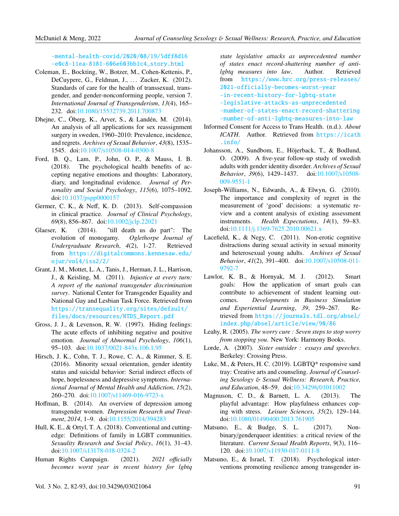[-mental-health-covid/2020/08/19/5dff8d16](https://www.washingtonpost.com/lifestyle/wellness/toxic-positivity-mental-health-covid/2020/08/19/5dff8d16-e0c8-11ea-8181-606e603bb1c4_story.html) [-e0c8-11ea-8181-606e603bb1c4\\_story.html](https://www.washingtonpost.com/lifestyle/wellness/toxic-positivity-mental-health-covid/2020/08/19/5dff8d16-e0c8-11ea-8181-606e603bb1c4_story.html)

- <span id="page-10-0"></span>Coleman, E., Bockting, W., Botzer, M., Cohen-Kettenis, P., DeCuypere, G., Feldman, J., ... Zucker, K. (2012). Standards of care for the health of transsexual, transgender, and gender-nonconforming people, version 7. *International Journal of Transgenderism*, *13*(4), 165– 232. doi:10.1080/[15532739.2011.700873](https://doi.org/10.1080/15532739.2011.700873)
- <span id="page-10-9"></span>Dhejne, C., Öberg, K., Arver, S., & Landén, M. (2014). An analysis of all applications for sex reassignment surgery in sweden, 1960–2010: Prevalence, incidence, and regrets. *Archives of Sexual Behavior*, *43*(8), 1535– 1545. doi:10.1007/[s10508-014-0300-8](https://doi.org/10.1007/s10508-014-0300-8)
- <span id="page-10-8"></span>Ford, B. Q., Lam, P., John, O. P., & Mauss, I. B. (2018). The psychological health benefits of accepting negative emotions and thoughts: Laboratory, diary, and longitudinal evidence. *Journal of Personality and Social Psychology*, *115*(6), 1075–1092. doi:10.1037/[pspp0000157](https://doi.org/10.1037/pspp0000157)
- <span id="page-10-21"></span>Germer, C. K., & Neff, K. D. (2013). Self-compassion in clinical practice. *Journal of Clinical Psychology*, *69*(8), 856–867. doi:10.1002/[jclp.22021](https://doi.org/10.1002/jclp.22021)
- <span id="page-10-15"></span>Glaeser, K. (2014). "till death us do part": The evolution of monogamy. *Oglethorpe Journal of Undergraduate Research*, *4*(2), 1-27. Retrieved from [https://digitalcommons.kennesaw.edu/](https://digitalcommons.kennesaw.edu/ojur/vol4/iss2/2/) [ojur/vol4/iss2/2/](https://digitalcommons.kennesaw.edu/ojur/vol4/iss2/2/)
- <span id="page-10-3"></span>Grant, J. M., Mottet, L. A., Tanis, J., Herman, J. L., Harrison, J., & Keisling, M. (2011). *Injustice at every turn: A report of the national transgender discrimination survey*. National Center for Transgender Equality and National Gay and Lesbian Task Force. Retrieved from [https://transequality.org/sites/default/](https://transequality.org/sites/default/files/docs/resources/NTDS_Report.pdf) [files/docs/resources/NTDS\\_Report.pdf](https://transequality.org/sites/default/files/docs/resources/NTDS_Report.pdf)
- <span id="page-10-7"></span>Gross, J. J., & Levenson, R. W. (1997). Hiding feelings: The acute effects of inhibiting negative and positive emotion. *Journal of Abnormal Psychology*, *106*(1), 95–103. doi:10.1037/[0021-843x.106.1.95](https://doi.org/10.1037/0021-843x.106.1.95)
- <span id="page-10-16"></span>Hirsch, J. K., Cohn, T. J., Rowe, C. A., & Rimmer, S. E. (2016). Minority sexual orientation, gender identity status and suicidal behavior: Serial indirect effects of hope, hopelessness and depressive symptoms. *International Journal of Mental Health and Addiction*, *15*(2), 260–270. doi:10.1007/[s11469-016-9723-x](https://doi.org/10.1007/s11469-016-9723-x)
- <span id="page-10-4"></span>Hoffman, B. (2014). An overview of depression among transgender women. *Depression Research and Treatment*, *2014*, 1–9. doi[:10.1155](https://doi.org/10.1155/2014/394283)/2014/394283
- <span id="page-10-20"></span>Hull, K. E., & Ortyl, T. A. (2018). Conventional and cuttingedge: Definitions of family in LGBT communities. *Sexuality Research and Social Policy*, *16*(1), 31–43. doi:10.1007/[s13178-018-0324-2](https://doi.org/10.1007/s13178-018-0324-2)
- <span id="page-10-19"></span>Human Rights Campaign. (2021). 2021 officially *becomes worst year in recent history for lgbtq*

*state legislative attacks as unprecedented number of states enact record-shattering number of antilgbtq measures into law*. Author. Retrieved from [https://www.hrc.org/press-releases/](https://www.hrc.org/press-releases/2021-officially-becomes-worst-year-in-recent-history-for-lgbtq-state-legislative-attacks-as-unprecedented-number-of-states-enact-record-shattering-number-of-anti-lgbtq-measures-into-law) [2021-officially-becomes-worst-year](https://www.hrc.org/press-releases/2021-officially-becomes-worst-year-in-recent-history-for-lgbtq-state-legislative-attacks-as-unprecedented-number-of-states-enact-record-shattering-number-of-anti-lgbtq-measures-into-law) [-in-recent-history-for-lgbtq-state](https://www.hrc.org/press-releases/2021-officially-becomes-worst-year-in-recent-history-for-lgbtq-state-legislative-attacks-as-unprecedented-number-of-states-enact-record-shattering-number-of-anti-lgbtq-measures-into-law) [-legislative-attacks-as-unprecedented](https://www.hrc.org/press-releases/2021-officially-becomes-worst-year-in-recent-history-for-lgbtq-state-legislative-attacks-as-unprecedented-number-of-states-enact-record-shattering-number-of-anti-lgbtq-measures-into-law) [-number-of-states-enact-record-shattering](https://www.hrc.org/press-releases/2021-officially-becomes-worst-year-in-recent-history-for-lgbtq-state-legislative-attacks-as-unprecedented-number-of-states-enact-record-shattering-number-of-anti-lgbtq-measures-into-law) [-number-of-anti-lgbtq-measures-into-law](https://www.hrc.org/press-releases/2021-officially-becomes-worst-year-in-recent-history-for-lgbtq-state-legislative-attacks-as-unprecedented-number-of-states-enact-record-shattering-number-of-anti-lgbtq-measures-into-law)

- <span id="page-10-1"></span>Informed Consent for Access to Trans Health. (n.d.). *About ICATH*. Author. Retrieved from [https://icath](https://icath.info/) [.info/](https://icath.info/)
- <span id="page-10-10"></span>Johansson, A., Sundbom, E., Höjerback, T., & Bodlund, O. (2009). A five-year follow-up study of swedish adults with gender identity disorder. *Archives of Sexual Behavior*, *39*(6), 1429–1437. doi[:10.1007](https://doi.org/10.1007/s10508-009-9551-1)/s10508- [009-9551-1](https://doi.org/10.1007/s10508-009-9551-1)
- <span id="page-10-11"></span>Joseph-Williams, N., Edwards, A., & Elwyn, G. (2010). The importance and complexity of regret in the measurement of 'good' decisions: a systematic review and a content analysis of existing assessment instruments. *Health Expectations*, *14*(1), 59–83. doi:10.1111/[j.1369-7625.2010.00621.x](https://doi.org/10.1111/j.1369-7625.2010.00621.x)
- <span id="page-10-14"></span>Lacefield, K., & Negy, C. (2011). Non-erotic cognitive distractions during sexual activity in sexual minority and heterosexual young adults. *Archives of Sexual Behavior*, *41*(2), 391–400. doi:10.1007/[s10508-011-](https://doi.org/10.1007/s10508-011-9792-7) [9792-7](https://doi.org/10.1007/s10508-011-9792-7)
- <span id="page-10-17"></span>Lawlor, K. B., & Hornyak, M. J. (2012). Smart goals: How the application of smart goals can contribute to achievement of student learning outcomes. *Developments in Business Simulation and Experiential Learning*, *39*, 259–267. Retrieved from [https://journals.tdl.org/absel/](https://journals.tdl.org/absel/index.php/absel/article/view/90/86) [index.php/absel/article/view/90/86](https://journals.tdl.org/absel/index.php/absel/article/view/90/86)
- <span id="page-10-12"></span>Leahy, R. (2005). *The worry cure : Seven steps to stop worry from stopping you*. New York: Harmony Books.
- <span id="page-10-13"></span>Lorde, A. (2007). *Sister outsider : essays and speeches*. Berkeley: Crossing Press.
- <span id="page-10-2"></span>Luke, M., & Peters, H. C. (2019). LGBTQ\* responsive sand tray: Creative arts and counseling. *Journal of Counseling Sexology* & *Sexual Wellness: Research, Practice, and Education*, 48–59. doi:10.34296/[01011002](https://doi.org/10.34296/01011002)
- <span id="page-10-6"></span>Magnuson, C. D., & Barnett, L. A. (2013). The playful advantage: How playfulness enhances coping with stress. *Leisure Sciences*, *35*(2), 129–144. doi:10.1080/[01490400.2013.761905](https://doi.org/10.1080/01490400.2013.761905)
- <span id="page-10-5"></span>Matsuno, E., & Budge, S. L. (2017). Nonbinary/genderqueer identities: a critical review of the literature. *Current Sexual Health Reports*, *9*(3), 116– 120. doi:10.1007/[s11930-017-0111-8](https://doi.org/10.1007/s11930-017-0111-8)
- <span id="page-10-18"></span>Matsuno, E., & Israel, T. (2018). Psychological interventions promoting resilience among transgender in-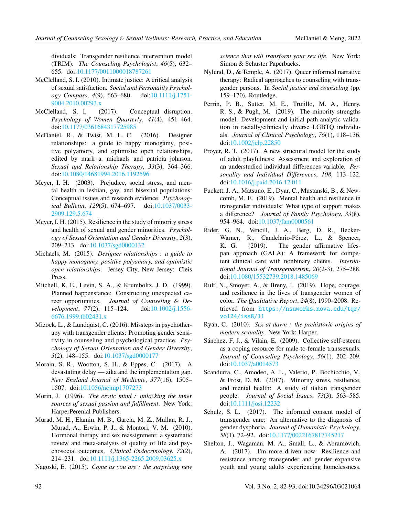dividuals: Transgender resilience intervention model (TRIM). *The Counseling Psychologist*, *46*(5), 632– 655. doi:10.1177/[0011000018787261](https://doi.org/10.1177/0011000018787261)

- <span id="page-11-11"></span>McClelland, S. I. (2010). Intimate justice: A critical analysis of sexual satisfaction. *Social and Personality Psychology Compass*, *4*(9), 663–680. doi[:10.1111](https://doi.org/10.1111/j.1751-9004.2010.00293.x)/j.1751- [9004.2010.00293.x](https://doi.org/10.1111/j.1751-9004.2010.00293.x)
- <span id="page-11-12"></span>McClelland, S. I. (2017). Conceptual disruption. *Psychology of Women Quarterly*, *41*(4), 451–464. doi:10.1177/[0361684317725985](https://doi.org/10.1177/0361684317725985)
- <span id="page-11-17"></span>McDaniel, R., & Twist, M. L. C. (2016). Designer relationships: a guide to happy monogamy, positive polyamory, and optimistic open relationships, edited by mark a. michaels and patricia johnson. *Sexual and Relationship Therapy*, *33*(3), 364–366. doi:10.1080/[14681994.2016.1192596](https://doi.org/10.1080/14681994.2016.1192596)
- <span id="page-11-2"></span>Meyer, I. H. (2003). Prejudice, social stress, and mental health in lesbian, gay, and bisexual populations: Conceptual issues and research evidence. *Psychological Bulletin*, *129*(5), 674–697. doi[:10.1037](https://doi.org/10.1037/0033-2909.129.5.674)/0033- [2909.129.5.674](https://doi.org/10.1037/0033-2909.129.5.674)
- <span id="page-11-22"></span>Meyer, I. H. (2015). Resilience in the study of minority stress and health of sexual and gender minorities. *Psychology of Sexual Orientation and Gender Diversity*, *2*(3), 209–213. doi:10.1037/[sgd0000132](https://doi.org/10.1037/sgd0000132)
- <span id="page-11-18"></span>Michaels, M. (2015). *Designer relationships : a guide to happy monogamy, positive polyamory, and optimistic open relationships*. Jersey City, New Jersey: Cleis Press.
- <span id="page-11-14"></span>Mitchell, K. E., Levin, S. A., & Krumboltz, J. D. (1999). Planned happenstance: Constructing unexpected career opportunities. *Journal of Counseling* & *Development*, *77*(2), 115–124. doi[:10.1002](https://doi.org/10.1002/j.1556-6676.1999.tb02431.x)/j.1556- [6676.1999.tb02431.x](https://doi.org/10.1002/j.1556-6676.1999.tb02431.x)
- <span id="page-11-1"></span>Mizock, L., & Lundquist, C. (2016). Missteps in psychotherapy with transgender clients: Promoting gender sensitivity in counseling and psychological practice. *Psychology of Sexual Orientation and Gender Diversity*, *3*(2), 148–155. doi:10.1037/[sgd0000177](https://doi.org/10.1037/sgd0000177)
- <span id="page-11-9"></span>Morain, S. R., Wootton, S. H., & Eppes, C. (2017). A devastating delay — zika and the implementation gap. *New England Journal of Medicine*, *377*(16), 1505– 1507. doi:10.1056/[nejmp1707273](https://doi.org/10.1056/nejmp1707273)
- <span id="page-11-15"></span>Morin, J. (1996). *The erotic mind : unlocking the inner sources of sexual passion and fulfillment*. New York: HarperPerenial Publishers.
- <span id="page-11-10"></span>Murad, M. H., Elamin, M. B., Garcia, M. Z., Mullan, R. J., Murad, A., Erwin, P. J., & Montori, V. M. (2010). Hormonal therapy and sex reassignment: a systematic review and meta-analysis of quality of life and psychosocial outcomes. *Clinical Endocrinology*, *72*(2), 214–231. doi:10.1111/[j.1365-2265.2009.03625.x](https://doi.org/10.1111/j.1365-2265.2009.03625.x)
- <span id="page-11-13"></span>Nagoski, E. (2015). *Come as you are : the surprising new*

*science that will transform your sex life*. New York: Simon & Schuster Paperbacks.

- <span id="page-11-8"></span>Nylund, D., & Temple, A. (2017). Queer informed narrative therapy: Radical approaches to counseling with transgender persons. In *Social justice and counseling* (pp. 159–170). Routledge.
- <span id="page-11-3"></span>Perrin, P. B., Sutter, M. E., Trujillo, M. A., Henry, R. S., & Pugh, M. (2019). The minority strengths model: Development and initial path analytic validation in racially/ethnically diverse LGBTQ individuals. *Journal of Clinical Psychology*, *76*(1), 118–136. doi:10.1002/[jclp.22850](https://doi.org/10.1002/jclp.22850)
- <span id="page-11-7"></span>Proyer, R. T. (2017). A new structural model for the study of adult playfulness: Assessment and exploration of an understudied individual differences variable. *Personality and Individual Di*ff*erences*, *108*, 113–122. doi:10.1016/[j.paid.2016.12.011](https://doi.org/10.1016/j.paid.2016.12.011)
- <span id="page-11-19"></span>Puckett, J. A., Matsuno, E., Dyar, C., Mustanski, B., & Newcomb, M. E. (2019). Mental health and resilience in transgender individuals: What type of support makes a difference? *Journal of Family Psychology*, *33*(8), 954–964. doi:10.1037/[fam0000561](https://doi.org/10.1037/fam0000561)
- <span id="page-11-6"></span>Rider, G. N., Vencill, J. A., Berg, D. R., Becker-Warner, R., Candelario-Pérez, L., & Spencer, K. G. (2019). The gender affirmative lifespan approach (GALA): A framework for competent clinical care with nonbinary clients. *International Journal of Transgenderism*, *20*(2-3), 275–288. doi:10.1080/[15532739.2018.1485069](https://doi.org/10.1080/15532739.2018.1485069)
- <span id="page-11-4"></span>Ruff, N., Smoyer, A., & Breny, J. (2019). Hope, courage, and resilience in the lives of transgender women of color. *The Qualitative Report*, *24*(8), 1990–2008. Retrieved from [https://nsuworks.nova.edu/tqr/](https://nsuworks.nova.edu/tqr/vol24/iss8/11) [vol24/iss8/11](https://nsuworks.nova.edu/tqr/vol24/iss8/11)
- <span id="page-11-16"></span>Ryan, C. (2010). *Sex at dawn : the prehistoric origins of modern sexuality*. New York: Harper.
- <span id="page-11-21"></span>Sánchez, F. J., & Vilain, E. (2009). Collective self-esteem as a coping resource for male-to-female transsexuals. *Journal of Counseling Psychology*, *56*(1), 202–209. doi:10.1037/[a0014573](https://doi.org/10.1037/a0014573)
- <span id="page-11-20"></span>Scandurra, C., Amodeo, A. L., Valerio, P., Bochicchio, V., & Frost, D. M. (2017). Minority stress, resilience, and mental health: A study of italian transgender people. *Journal of Social Issues*, *73*(3), 563–585. doi:10.1111/[josi.12232](https://doi.org/10.1111/josi.12232)
- <span id="page-11-0"></span>Schulz, S. L. (2017). The informed consent model of transgender care: An alternative to the diagnosis of gender dysphoria. *Journal of Humanistic Psychology*, *58*(1), 72–92. doi:10.1177/[0022167817745217](https://doi.org/10.1177/0022167817745217)
- <span id="page-11-5"></span>Shelton, J., Wagaman, M. A., Small, L., & Abramovich, A. (2017). I'm more driven now: Resilience and resistance among transgender and gender expansive youth and young adults experiencing homelessness.